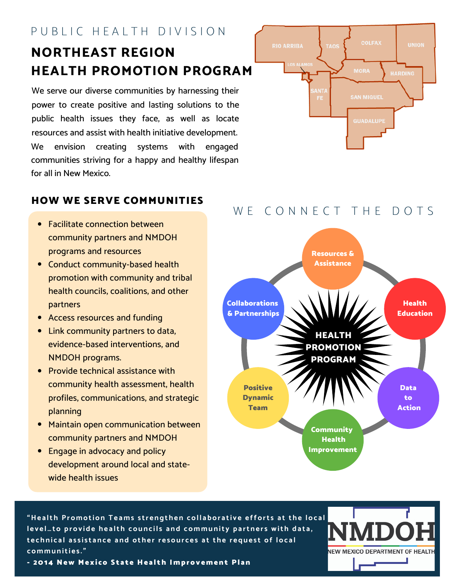# P U B L I C H E A L T H D I V I S I O N

# **NORTHEAST REGION HEALTH PROMOTION PROGRAM**

We serve our diverse communities by harnessing their power to create positive and lasting solutions to the public health issues they face, as well as locate resources and assist with health initiative development. We envision creating systems with engaged communities striving for a happy and healthy lifespan for all in New Mexico.



## HOW WE SERVE COMMUNITIES

- Facilitate connection between community partners and NMDOH programs and resources
- Conduct community-based health promotion with community and tribal health councils, coalitions, and other partners
- Access resources and funding
- Link community partners to data, evidence-based interventions, and NMDOH programs.
- Provide technical assistance with community health assessment, health profiles, communications, and strategic planning
- Maintain open communication between community partners and NMDOH
- Engage in advocacy and policy development around local and statewide health issues

# W F C O N N F C T T H F D O T S



"Health Promotion Teams strengthen collaborative efforts at the local level ... to provide health councils and community partners with data, technical assistance and other resources at the request of local **communiti e s ."**



- 2014 New Mexico State Health Improvement Plan